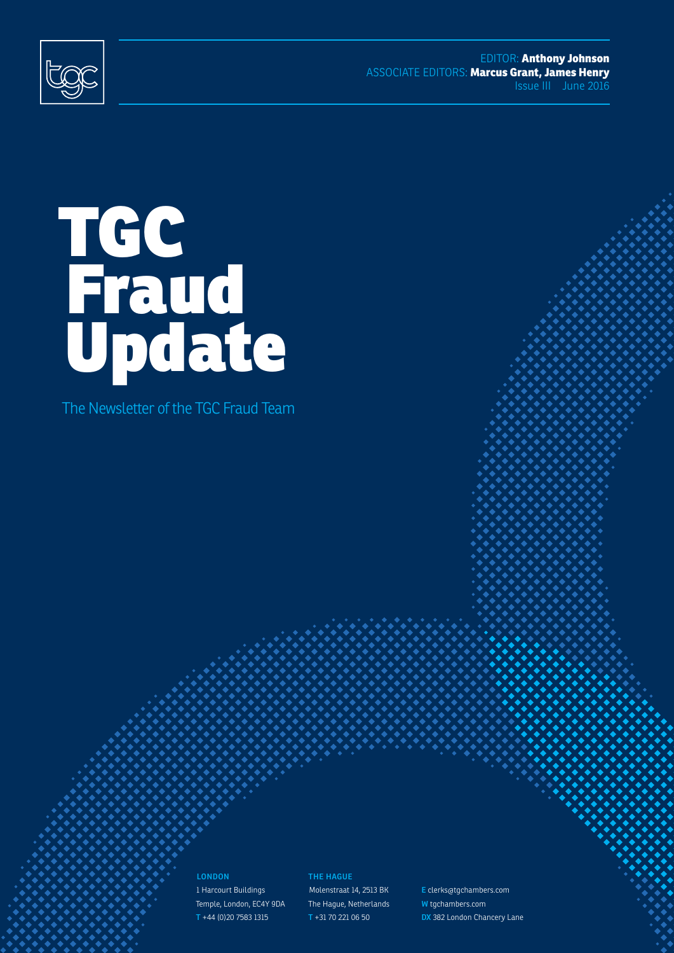<span id="page-0-0"></span>

EDITOR: **Anthony Johnson** ASSOCIATE EDITORS: **Marcus Grant, James Henry** Issue III June 2016

## TGC Fraud Update

The Newsletter of the TGC Fraud Team

**LONDON** 1 Harcourt Buildings Temple, London, EC4Y 9DA **T** +44 (0)20 7583 1315

**THE HAGUE** Molenstraat 14, 2513 BK The Hague, Netherlands **T** +31 70 221 06 50

©TGChambers **1 E** clerks@tgchambers.com **W** tgchambers.com **DX** 382 London Chancery Lane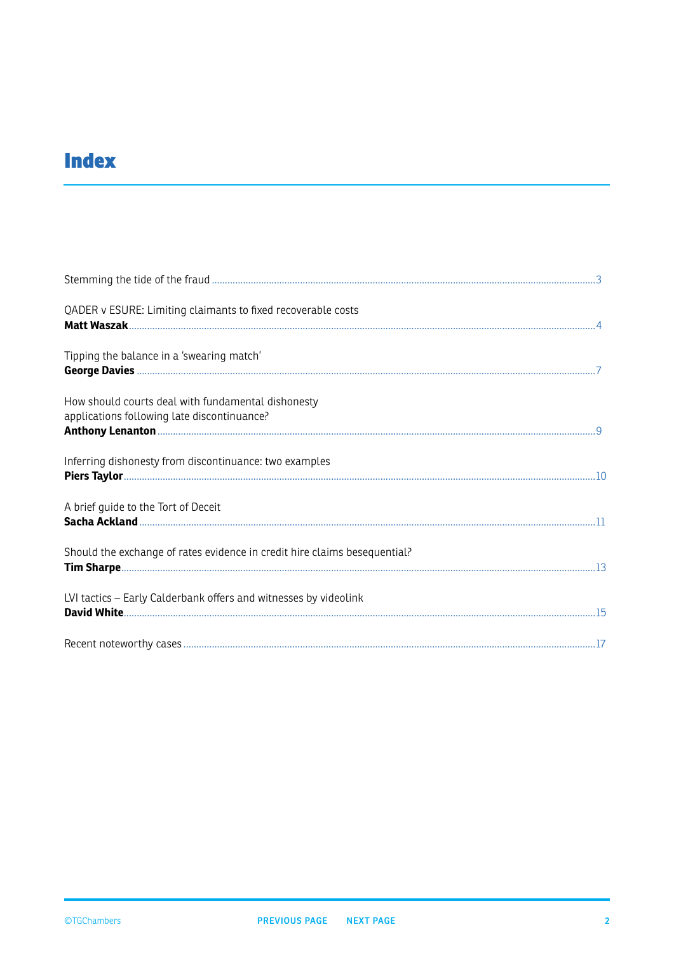## <span id="page-1-0"></span>**Index**

| QADER v ESURE: Limiting claimants to fixed recoverable costs                                      |  |
|---------------------------------------------------------------------------------------------------|--|
| Tipping the balance in a 'swearing match'                                                         |  |
| How should courts deal with fundamental dishonesty<br>applications following late discontinuance? |  |
| Inferring dishonesty from discontinuance: two examples                                            |  |
| A brief guide to the Tort of Deceit                                                               |  |
| Should the exchange of rates evidence in credit hire claims besequential?                         |  |
| LVI tactics - Early Calderbank offers and witnesses by videolink                                  |  |
|                                                                                                   |  |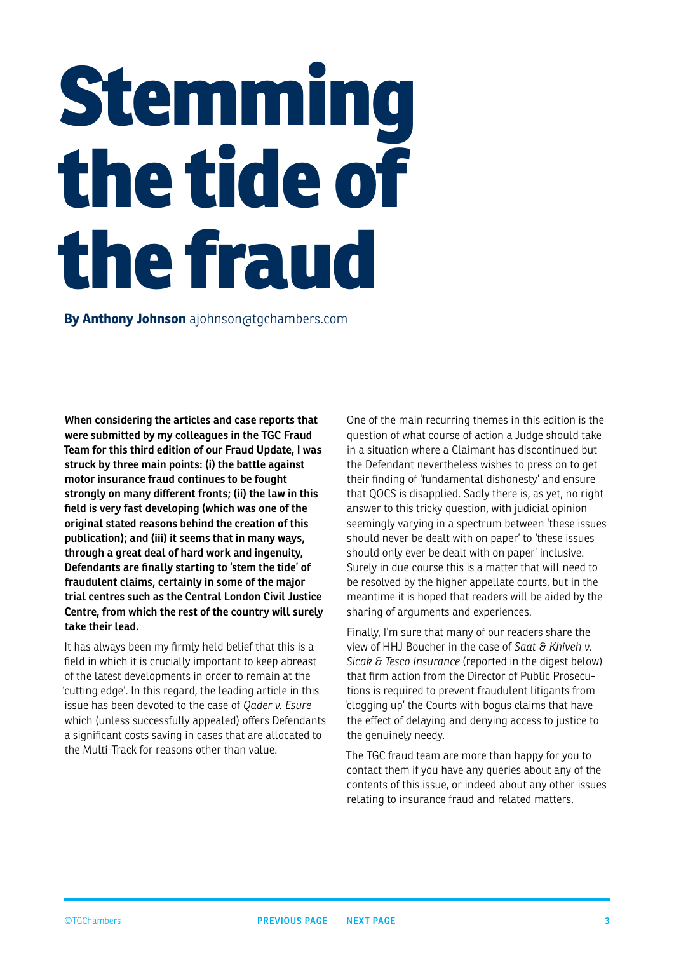# **Stemming the tide of the fraud**

**By Anthony Johnson** ajohnson@tgchambers.com

**When considering the articles and case reports that were submitted by my colleagues in the TGC Fraud Team for this third edition of our Fraud Update, I was struck by three main points: (i) the battle against motor insurance fraud continues to be fought strongly on many different fronts; (ii) the law in this field is very fast developing (which was one of the original stated reasons behind the creation of this publication); and (iii) it seems that in many ways, through a great deal of hard work and ingenuity, Defendants are finally starting to 'stem the tide' of fraudulent claims, certainly in some of the major trial centres such as the Central London Civil Justice Centre, from which the rest of the country will surely take their lead.**

It has always been my firmly held belief that this is a field in which it is crucially important to keep abreast of the latest developments in order to remain at the 'cutting edge'. In this regard, the leading article in this issue has been devoted to the case of *Qader v. Esure* which (unless successfully appealed) offers Defendants a significant costs saving in cases that are allocated to the Multi-Track for reasons other than value.

One of the main recurring themes in this edition is the question of what course of action a Judge should take in a situation where a Claimant has discontinued but the Defendant nevertheless wishes to press on to get their finding of 'fundamental dishonesty' and ensure that QOCS is disapplied. Sadly there is, as yet, no right answer to this tricky question, with judicial opinion seemingly varying in a spectrum between 'these issues should never be dealt with on paper' to 'these issues should only ever be dealt with on paper' inclusive. Surely in due course this is a matter that will need to be resolved by the higher appellate courts, but in the meantime it is hoped that readers will be aided by the sharing of arguments and experiences.

Finally, I'm sure that many of our readers share the view of HHJ Boucher in the case of *Saat & Khiveh v. Sicak & Tesco Insurance* (reported in the digest below) that firm action from the Director of Public Prosecutions is required to prevent fraudulent litigants from 'clogging up' the Courts with bogus claims that have the effect of delaying and denying access to justice to the genuinely needy.

The TGC fraud team are more than happy for you to contact them if you have any queries about any of the contents of this issue, or indeed about any other issues relating to insurance fraud and related matters.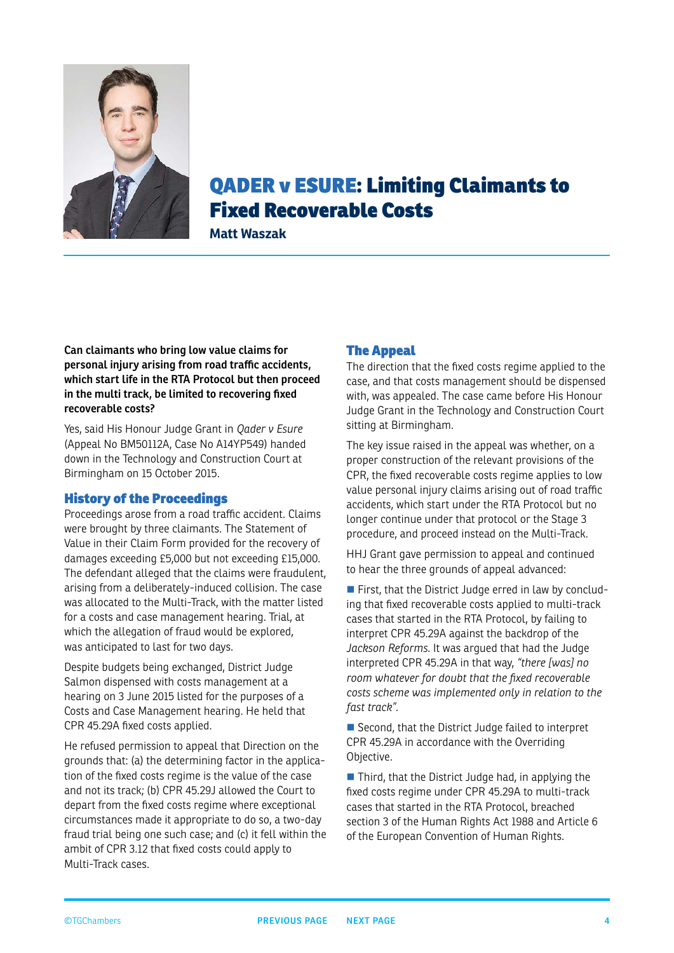<span id="page-3-0"></span>

## QADER v ESURE: Limiting Claimants to Fixed Recoverable Costs

**Matt Waszak**

**Can claimants who bring low value claims for personal injury arising from road traffic accidents, which start life in the RTA Protocol but then proceed in the multi track, be limited to recovering fixed recoverable costs?**

Yes, said His Honour Judge Grant in *Qader v Esure* (Appeal No BM50112A, Case No A14YP549) handed down in the Technology and Construction Court at Birmingham on 15 October 2015.

#### History of the Proceedings

Proceedings arose from a road traffic accident. Claims were brought by three claimants. The Statement of Value in their Claim Form provided for the recovery of damages exceeding £5,000 but not exceeding £15,000. The defendant alleged that the claims were fraudulent, arising from a deliberately-induced collision. The case was allocated to the Multi-Track, with the matter listed for a costs and case management hearing. Trial, at which the allegation of fraud would be explored, was anticipated to last for two days.

Despite budgets being exchanged, District Judge Salmon dispensed with costs management at a hearing on 3 June 2015 listed for the purposes of a Costs and Case Management hearing. He held that CPR 45.29A fixed costs applied.

He refused permission to appeal that Direction on the grounds that: (a) the determining factor in the application of the fixed costs regime is the value of the case and not its track; (b) CPR 45.29J allowed the Court to depart from the fixed costs regime where exceptional circumstances made it appropriate to do so, a two-day fraud trial being one such case; and (c) it fell within the ambit of CPR 3.12 that fixed costs could apply to Multi-Track cases.

#### The Appeal

The direction that the fixed costs regime applied to the case, and that costs management should be dispensed with, was appealed. The case came before His Honour Judge Grant in the Technology and Construction Court sitting at Birmingham.

The key issue raised in the appeal was whether, on a proper construction of the relevant provisions of the CPR, the fixed recoverable costs regime applies to low value personal injury claims arising out of road traffic accidents, which start under the RTA Protocol but no longer continue under that protocol or the Stage 3 procedure, and proceed instead on the Multi-Track.

HHJ Grant gave permission to appeal and continued to hear the three grounds of appeal advanced:

First, that the District Judge erred in law by concluding that fixed recoverable costs applied to multi-track cases that started in the RTA Protocol, by failing to interpret CPR 45.29A against the backdrop of the *Jackson Reforms*. It was argued that had the Judge interpreted CPR 45.29A in that way, *"there [was] no room whatever for doubt that the fixed recoverable costs scheme was implemented only in relation to the fast track".*

Second, that the District Judge failed to interpret CPR 45.29A in accordance with the Overriding Objective.

■ Third, that the District Judge had, in applying the fixed costs regime under CPR 45.29A to multi-track cases that started in the RTA Protocol, breached section 3 of the Human Rights Act 1988 and Article 6 of the European Convention of Human Rights.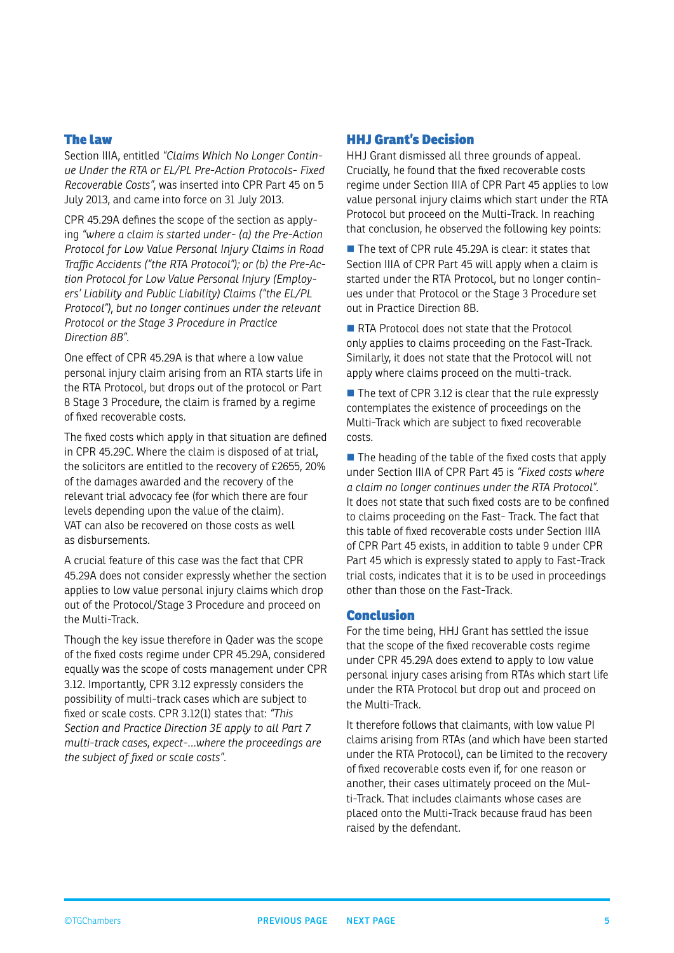#### <span id="page-4-0"></span>The law

Section IIIA, entitled *"Claims Which No Longer Continue Under the RTA or EL/PL Pre-Action Protocols- Fixed Recoverable Costs"*, was inserted into CPR Part 45 on 5 July 2013, and came into force on 31 July 2013.

CPR 45.29A defines the scope of the section as applying *"where a claim is started under- (a) the Pre-Action Protocol for Low Value Personal Injury Claims in Road Traffic Accidents ("the RTA Protocol"); or (b) the Pre-Action Protocol for Low Value Personal Injury (Employers' Liability and Public Liability) Claims ("the EL/PL Protocol"), but no longer continues under the relevant Protocol or the Stage 3 Procedure in Practice Direction 8B"*.

One effect of CPR 45.29A is that where a low value personal injury claim arising from an RTA starts life in the RTA Protocol, but drops out of the protocol or Part 8 Stage 3 Procedure, the claim is framed by a regime of fixed recoverable costs.

The fixed costs which apply in that situation are defined in CPR 45.29C. Where the claim is disposed of at trial, the solicitors are entitled to the recovery of £2655, 20% of the damages awarded and the recovery of the relevant trial advocacy fee (for which there are four levels depending upon the value of the claim). VAT can also be recovered on those costs as well as disbursements.

A crucial feature of this case was the fact that CPR 45.29A does not consider expressly whether the section applies to low value personal injury claims which drop out of the Protocol/Stage 3 Procedure and proceed on the Multi-Track.

Though the key issue therefore in Qader was the scope of the fixed costs regime under CPR 45.29A, considered equally was the scope of costs management under CPR 3.12. Importantly, CPR 3.12 expressly considers the possibility of multi-track cases which are subject to fixed or scale costs. CPR 3.12(1) states that: *"This Section and Practice Direction 3E apply to all Part 7 multi-track cases, expect-…where the proceedings are the subject of fixed or scale costs".* 

#### HHJ Grant's Decision

HHJ Grant dismissed all three grounds of appeal. Crucially, he found that the fixed recoverable costs regime under Section IIIA of CPR Part 45 applies to low value personal injury claims which start under the RTA Protocol but proceed on the Multi-Track. In reaching that conclusion, he observed the following key points:

 $\blacksquare$  The text of CPR rule 45.29A is clear: it states that Section IIIA of CPR Part 45 will apply when a claim is started under the RTA Protocol, but no longer continues under that Protocol or the Stage 3 Procedure set out in Practice Direction 8B.

RTA Protocol does not state that the Protocol only applies to claims proceeding on the Fast-Track. Similarly, it does not state that the Protocol will not apply where claims proceed on the multi-track.

 $\blacksquare$  The text of CPR 3.12 is clear that the rule expressly contemplates the existence of proceedings on the Multi-Track which are subject to fixed recoverable costs.

 $\blacksquare$  The heading of the table of the fixed costs that apply under Section IIIA of CPR Part 45 is *"Fixed costs where a claim no longer continues under the RTA Protocol"*. It does not state that such fixed costs are to be confined to claims proceeding on the Fast- Track. The fact that this table of fixed recoverable costs under Section IIIA of CPR Part 45 exists, in addition to table 9 under CPR Part 45 which is expressly stated to apply to Fast-Track trial costs, indicates that it is to be used in proceedings other than those on the Fast-Track.

#### Conclusion

For the time being, HHJ Grant has settled the issue that the scope of the fixed recoverable costs regime under CPR 45.29A does extend to apply to low value personal injury cases arising from RTAs which start life under the RTA Protocol but drop out and proceed on the Multi-Track.

It therefore follows that claimants, with low value PI claims arising from RTAs (and which have been started under the RTA Protocol), can be limited to the recovery of fixed recoverable costs even if, for one reason or another, their cases ultimately proceed on the Multi-Track. That includes claimants whose cases are placed onto the Multi-Track because fraud has been raised by the defendant.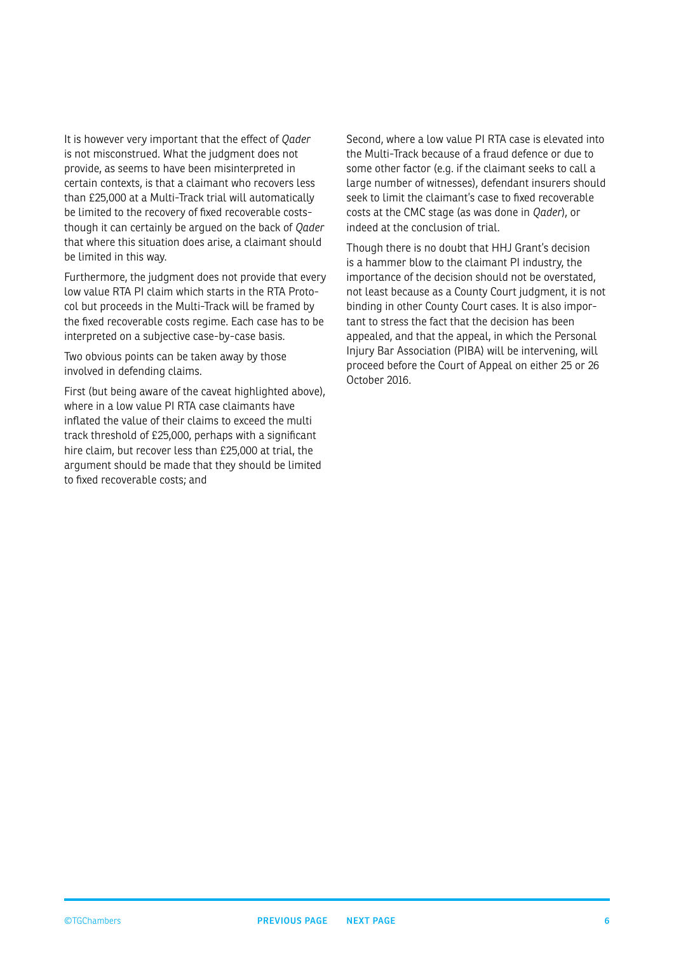<span id="page-5-0"></span>It is however very important that the effect of *Qader* is not misconstrued. What the judgment does not provide, as seems to have been misinterpreted in certain contexts, is that a claimant who recovers less than £25,000 at a Multi-Track trial will automatically be limited to the recovery of fixed recoverable coststhough it can certainly be argued on the back of *Qader* that where this situation does arise, a claimant should be limited in this way.

Furthermore, the judgment does not provide that every low value RTA PI claim which starts in the RTA Protocol but proceeds in the Multi-Track will be framed by the fixed recoverable costs regime. Each case has to be interpreted on a subjective case-by-case basis.

Two obvious points can be taken away by those involved in defending claims.

First (but being aware of the caveat highlighted above), where in a low value PI RTA case claimants have inflated the value of their claims to exceed the multi track threshold of £25,000, perhaps with a significant hire claim, but recover less than £25,000 at trial, the argument should be made that they should be limited to fixed recoverable costs; and

Second, where a low value PI RTA case is elevated into the Multi-Track because of a fraud defence or due to some other factor (e.g. if the claimant seeks to call a large number of witnesses), defendant insurers should seek to limit the claimant's case to fixed recoverable costs at the CMC stage (as was done in *Qader*), or indeed at the conclusion of trial.

Though there is no doubt that HHJ Grant's decision is a hammer blow to the claimant PI industry, the importance of the decision should not be overstated, not least because as a County Court judgment, it is not binding in other County Court cases. It is also important to stress the fact that the decision has been appealed, and that the appeal, in which the Personal Injury Bar Association (PIBA) will be intervening, will proceed before the Court of Appeal on either 25 or 26 October 2016.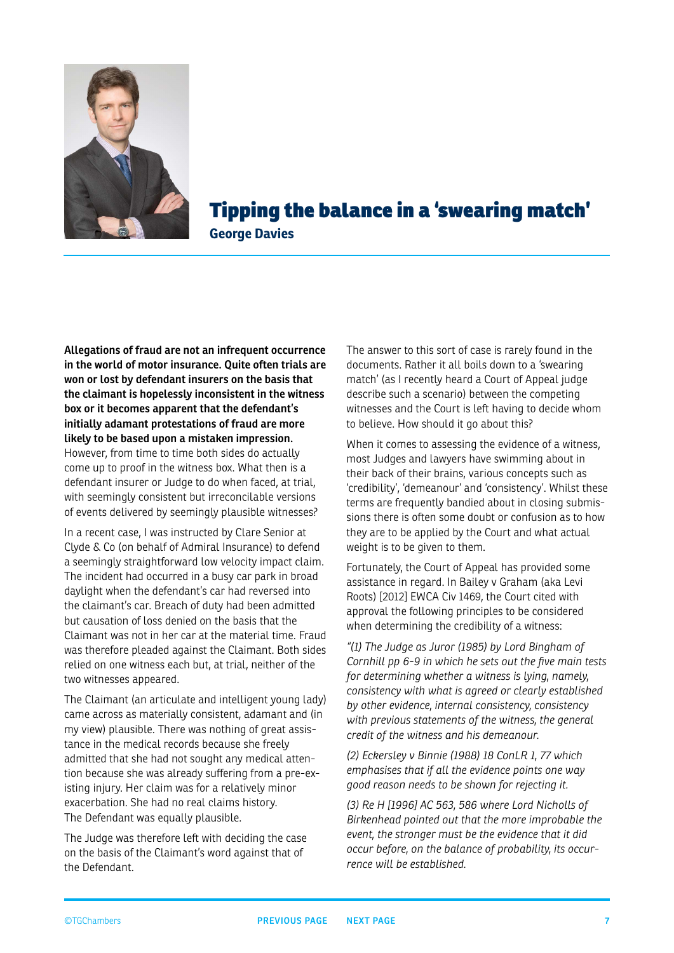<span id="page-6-0"></span>

Tipping the balance in a 'swearing match' **George Davies**

**Allegations of fraud are not an infrequent occurrence in the world of motor insurance. Quite often trials are won or lost by defendant insurers on the basis that the claimant is hopelessly inconsistent in the witness box or it becomes apparent that the defendant's initially adamant protestations of fraud are more likely to be based upon a mistaken impression.**

However, from time to time both sides do actually come up to proof in the witness box. What then is a defendant insurer or Judge to do when faced, at trial, with seemingly consistent but irreconcilable versions of events delivered by seemingly plausible witnesses?

In a recent case, I was instructed by Clare Senior at Clyde & Co (on behalf of Admiral Insurance) to defend a seemingly straightforward low velocity impact claim. The incident had occurred in a busy car park in broad daylight when the defendant's car had reversed into the claimant's car. Breach of duty had been admitted but causation of loss denied on the basis that the Claimant was not in her car at the material time. Fraud was therefore pleaded against the Claimant. Both sides relied on one witness each but, at trial, neither of the two witnesses appeared.

The Claimant (an articulate and intelligent young lady) came across as materially consistent, adamant and (in my view) plausible. There was nothing of great assistance in the medical records because she freely admitted that she had not sought any medical attention because she was already suffering from a pre-existing injury. Her claim was for a relatively minor exacerbation. She had no real claims history. The Defendant was equally plausible.

The Judge was therefore left with deciding the case on the basis of the Claimant's word against that of the Defendant.

The answer to this sort of case is rarely found in the documents. Rather it all boils down to a 'swearing match' (as I recently heard a Court of Appeal judge describe such a scenario) between the competing witnesses and the Court is left having to decide whom to believe. How should it go about this?

When it comes to assessing the evidence of a witness, most Judges and lawyers have swimming about in their back of their brains, various concepts such as 'credibility', 'demeanour' and 'consistency'. Whilst these terms are frequently bandied about in closing submissions there is often some doubt or confusion as to how they are to be applied by the Court and what actual weight is to be given to them.

Fortunately, the Court of Appeal has provided some assistance in regard. In Bailey v Graham (aka Levi Roots) [2012] EWCA Civ 1469, the Court cited with approval the following principles to be considered when determining the credibility of a witness:

*"(1) The Judge as Juror (1985) by Lord Bingham of Cornhill pp 6-9 in which he sets out the five main tests for determining whether a witness is lying, namely, consistency with what is agreed or clearly established by other evidence, internal consistency, consistency with previous statements of the witness, the general credit of the witness and his demeanour.*

*(2) Eckersley v Binnie (1988) 18 ConLR 1, 77 which emphasises that if all the evidence points one way good reason needs to be shown for rejecting it.*

*(3) Re H [1996] AC 563, 586 where Lord Nicholls of Birkenhead pointed out that the more improbable the event, the stronger must be the evidence that it did occur before, on the balance of probability, its occurrence will be established.*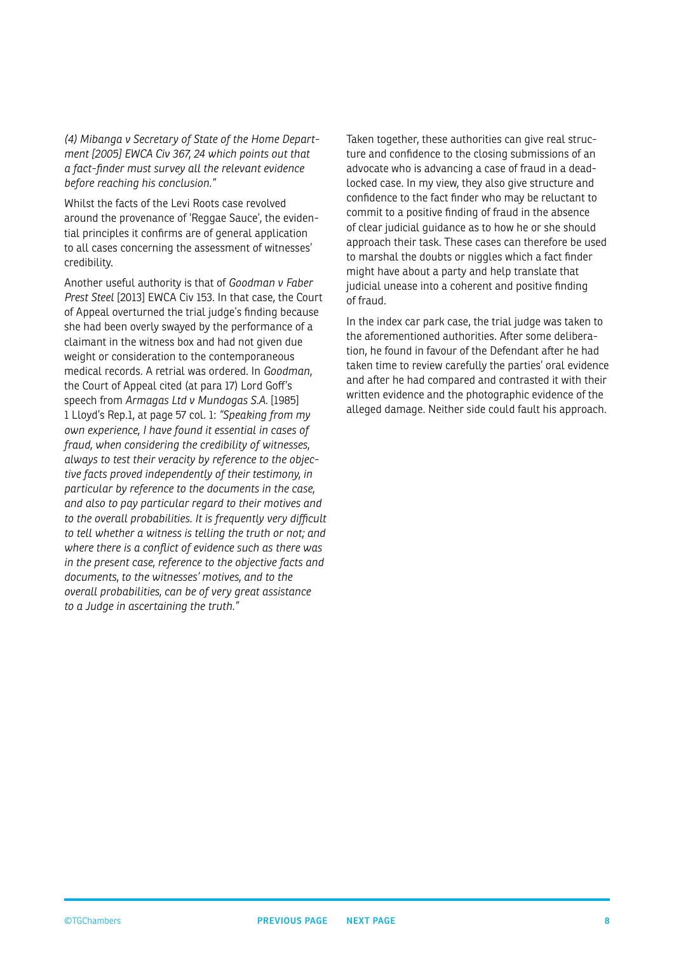<span id="page-7-0"></span>*(4) Mibanga v Secretary of State of the Home Department [2005] EWCA Civ 367, 24 which points out that a fact-finder must survey all the relevant evidence before reaching his conclusion."*

Whilst the facts of the Levi Roots case revolved around the provenance of 'Reggae Sauce', the evidential principles it confirms are of general application to all cases concerning the assessment of witnesses' credibility.

Another useful authority is that of *Goodman v Faber Prest Steel* [2013] EWCA Civ 153. In that case, the Court of Appeal overturned the trial judge's finding because she had been overly swayed by the performance of a claimant in the witness box and had not given due weight or consideration to the contemporaneous medical records. A retrial was ordered. In *Goodman*, the Court of Appeal cited (at para 17) Lord Goff's speech from *Armagas Ltd v Mundogas S.A.* [1985] 1 Lloyd's Rep.1, at page 57 col. 1: *"Speaking from my own experience, I have found it essential in cases of fraud, when considering the credibility of witnesses, always to test their veracity by reference to the objective facts proved independently of their testimony, in particular by reference to the documents in the case, and also to pay particular regard to their motives and to the overall probabilities. It is frequently very difficult to tell whether a witness is telling the truth or not; and where there is a conflict of evidence such as there was in the present case, reference to the objective facts and documents, to the witnesses' motives, and to the overall probabilities, can be of very great assistance to a Judge in ascertaining the truth."*

Taken together, these authorities can give real structure and confidence to the closing submissions of an advocate who is advancing a case of fraud in a deadlocked case. In my view, they also give structure and confidence to the fact finder who may be reluctant to commit to a positive finding of fraud in the absence of clear judicial guidance as to how he or she should approach their task. These cases can therefore be used to marshal the doubts or niggles which a fact finder might have about a party and help translate that judicial unease into a coherent and positive finding of fraud.

In the index car park case, the trial judge was taken to the aforementioned authorities. After some deliberation, he found in favour of the Defendant after he had taken time to review carefully the parties' oral evidence and after he had compared and contrasted it with their written evidence and the photographic evidence of the alleged damage. Neither side could fault his approach.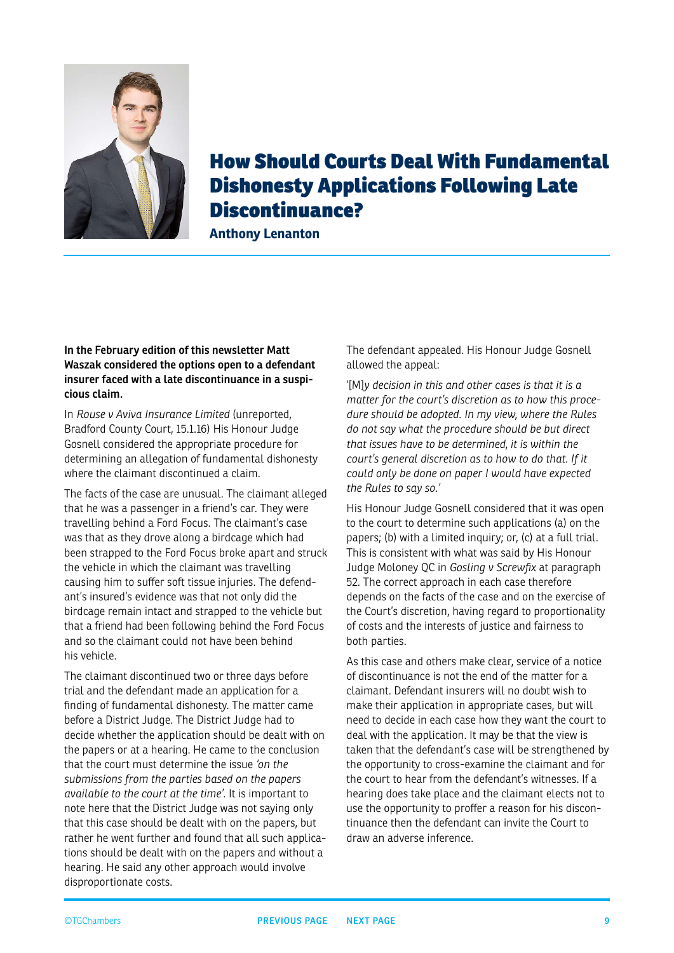<span id="page-8-0"></span>

## How Should Courts Deal With Fundamental Dishonesty Applications Following Late Discontinuance?

**Anthony Lenanton**

#### **In the February edition of this newsletter Matt Waszak considered the options open to a defendant insurer faced with a late discontinuance in a suspicious claim.**

In *Rouse v Aviva Insurance Limited* (unreported, Bradford County Court, 15.1.16) His Honour Judge Gosnell considered the appropriate procedure for determining an allegation of fundamental dishonesty where the claimant discontinued a claim.

The facts of the case are unusual. The claimant alleged that he was a passenger in a friend's car. They were travelling behind a Ford Focus. The claimant's case was that as they drove along a birdcage which had been strapped to the Ford Focus broke apart and struck the vehicle in which the claimant was travelling causing him to suffer soft tissue injuries. The defendant's insured's evidence was that not only did the birdcage remain intact and strapped to the vehicle but that a friend had been following behind the Ford Focus and so the claimant could not have been behind his vehicle.

The claimant discontinued two or three days before trial and the defendant made an application for a finding of fundamental dishonesty. The matter came before a District Judge. The District Judge had to decide whether the application should be dealt with on the papers or at a hearing. He came to the conclusion that the court must determine the issue *'on the submissions from the parties based on the papers available to the court at the time'*. It is important to note here that the District Judge was not saying only that this case should be dealt with on the papers, but rather he went further and found that all such applications should be dealt with on the papers and without a hearing. He said any other approach would involve disproportionate costs.

The defendant appealed. His Honour Judge Gosnell allowed the appeal:

'[M]*y decision in this and other cases is that it is a matter for the court's discretion as to how this procedure should be adopted. In my view, where the Rules do not say what the procedure should be but direct that issues have to be determined, it is within the court's general discretion as to how to do that. If it could only be done on paper I would have expected the Rules to say so.'*

His Honour Judge Gosnell considered that it was open to the court to determine such applications (a) on the papers; (b) with a limited inquiry; or, (c) at a full trial. This is consistent with what was said by His Honour Judge Moloney QC in *Gosling v Screwfix* at paragraph 52. The correct approach in each case therefore depends on the facts of the case and on the exercise of the Court's discretion, having regard to proportionality of costs and the interests of justice and fairness to both parties.

As this case and others make clear, service of a notice of discontinuance is not the end of the matter for a claimant. Defendant insurers will no doubt wish to make their application in appropriate cases, but will need to decide in each case how they want the court to deal with the application. It may be that the view is taken that the defendant's case will be strengthened by the opportunity to cross-examine the claimant and for the court to hear from the defendant's witnesses. If a hearing does take place and the claimant elects not to use the opportunity to proffer a reason for his discontinuance then the defendant can invite the Court to draw an adverse inference.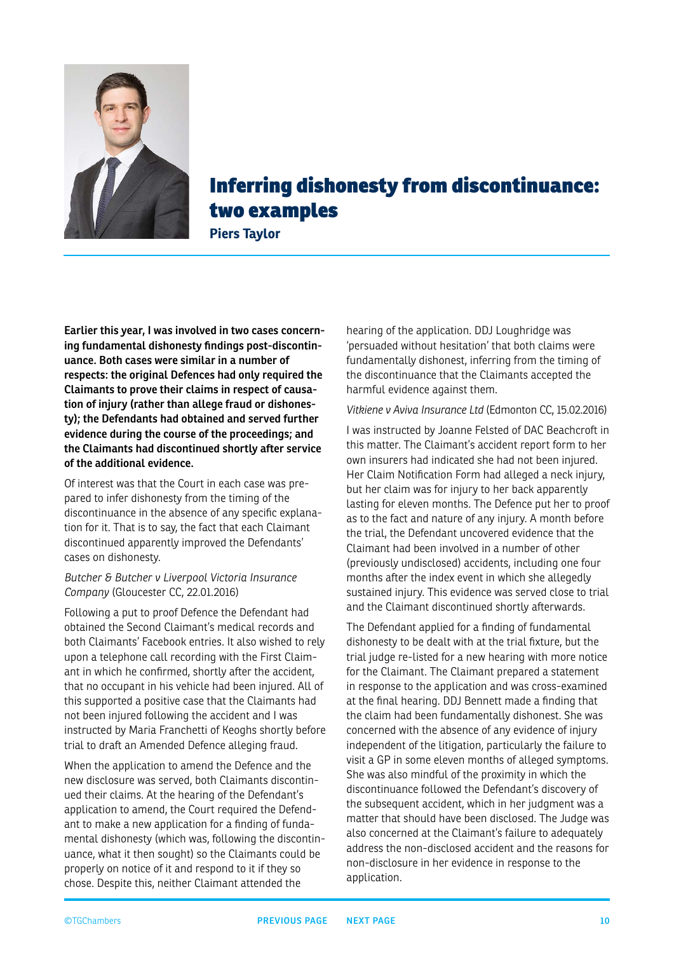<span id="page-9-0"></span>

## Inferring dishonesty from discontinuance: two examples

**Piers Taylor**

**Earlier this year, I was involved in two cases concerning fundamental dishonesty findings post-discontinuance. Both cases were similar in a number of respects: the original Defences had only required the Claimants to prove their claims in respect of causation of injury (rather than allege fraud or dishonesty); the Defendants had obtained and served further evidence during the course of the proceedings; and the Claimants had discontinued shortly after service of the additional evidence.**

Of interest was that the Court in each case was prepared to infer dishonesty from the timing of the discontinuance in the absence of any specific explanation for it. That is to say, the fact that each Claimant discontinued apparently improved the Defendants' cases on dishonesty.

#### *Butcher & Butcher v Liverpool Victoria Insurance Company* (Gloucester CC, 22.01.2016)

Following a put to proof Defence the Defendant had obtained the Second Claimant's medical records and both Claimants' Facebook entries. It also wished to rely upon a telephone call recording with the First Claimant in which he confirmed, shortly after the accident, that no occupant in his vehicle had been injured. All of this supported a positive case that the Claimants had not been injured following the accident and I was instructed by Maria Franchetti of Keoghs shortly before trial to draft an Amended Defence alleging fraud.

When the application to amend the Defence and the new disclosure was served, both Claimants discontinued their claims. At the hearing of the Defendant's application to amend, the Court required the Defendant to make a new application for a finding of fundamental dishonesty (which was, following the discontinuance, what it then sought) so the Claimants could be properly on notice of it and respond to it if they so chose. Despite this, neither Claimant attended the

hearing of the application. DDJ Loughridge was 'persuaded without hesitation' that both claims were fundamentally dishonest, inferring from the timing of the discontinuance that the Claimants accepted the harmful evidence against them.

#### *Vitkiene v Aviva Insurance Ltd* (Edmonton CC, 15.02.2016)

I was instructed by Joanne Felsted of DAC Beachcroft in this matter. The Claimant's accident report form to her own insurers had indicated she had not been injured. Her Claim Notification Form had alleged a neck injury, but her claim was for injury to her back apparently lasting for eleven months. The Defence put her to proof as to the fact and nature of any injury. A month before the trial, the Defendant uncovered evidence that the Claimant had been involved in a number of other (previously undisclosed) accidents, including one four months after the index event in which she allegedly sustained injury. This evidence was served close to trial and the Claimant discontinued shortly afterwards.

The Defendant applied for a finding of fundamental dishonesty to be dealt with at the trial fixture, but the trial judge re-listed for a new hearing with more notice for the Claimant. The Claimant prepared a statement in response to the application and was cross-examined at the final hearing. DDJ Bennett made a finding that the claim had been fundamentally dishonest. She was concerned with the absence of any evidence of injury independent of the litigation, particularly the failure to visit a GP in some eleven months of alleged symptoms. She was also mindful of the proximity in which the discontinuance followed the Defendant's discovery of the subsequent accident, which in her judgment was a matter that should have been disclosed. The Judge was also concerned at the Claimant's failure to adequately address the non-disclosed accident and the reasons for non-disclosure in her evidence in response to the application.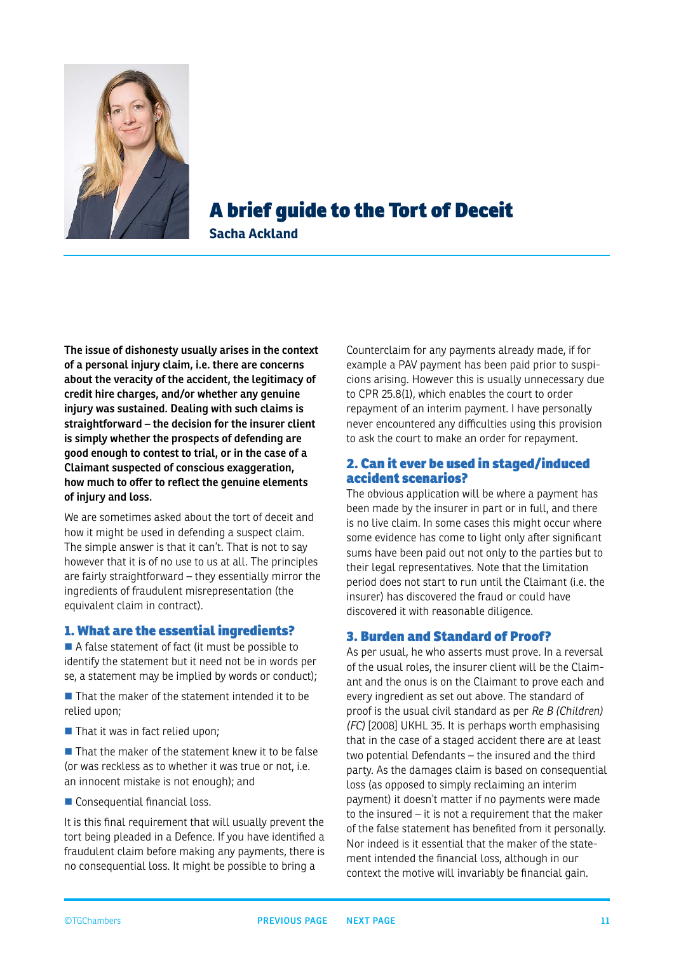<span id="page-10-0"></span>

## A brief guide to the Tort of Deceit

**Sacha Ackland**

**The issue of dishonesty usually arises in the context of a personal injury claim, i.e. there are concerns about the veracity of the accident, the legitimacy of credit hire charges, and/or whether any genuine injury was sustained. Dealing with such claims is straightforward – the decision for the insurer client is simply whether the prospects of defending are good enough to contest to trial, or in the case of a Claimant suspected of conscious exaggeration, how much to offer to reflect the genuine elements of injury and loss.**

We are sometimes asked about the tort of deceit and how it might be used in defending a suspect claim. The simple answer is that it can't. That is not to say however that it is of no use to us at all. The principles are fairly straightforward – they essentially mirror the ingredients of fraudulent misrepresentation (the equivalent claim in contract).

#### 1. What are the essential ingredients?

A false statement of fact (it must be possible to identify the statement but it need not be in words per se, a statement may be implied by words or conduct);

 $\blacksquare$  That the maker of the statement intended it to be relied upon;

■ That it was in fact relied upon;

 $\blacksquare$  That the maker of the statement knew it to be false (or was reckless as to whether it was true or not, i.e. an innocent mistake is not enough); and

Consequential financial loss.

It is this final requirement that will usually prevent the tort being pleaded in a Defence. If you have identified a fraudulent claim before making any payments, there is no consequential loss. It might be possible to bring a

Counterclaim for any payments already made, if for example a PAV payment has been paid prior to suspicions arising. However this is usually unnecessary due to CPR 25.8(1), which enables the court to order repayment of an interim payment. I have personally never encountered any difficulties using this provision to ask the court to make an order for repayment.

#### 2. Can it ever be used in staged/induced accident scenarios?

The obvious application will be where a payment has been made by the insurer in part or in full, and there is no live claim. In some cases this might occur where some evidence has come to light only after significant sums have been paid out not only to the parties but to their legal representatives. Note that the limitation period does not start to run until the Claimant (i.e. the insurer) has discovered the fraud or could have discovered it with reasonable diligence.

#### 3. Burden and Standard of Proof?

As per usual, he who asserts must prove. In a reversal of the usual roles, the insurer client will be the Claimant and the onus is on the Claimant to prove each and every ingredient as set out above. The standard of proof is the usual civil standard as per *Re B (Children) (FC)* [2008] UKHL 35. It is perhaps worth emphasising that in the case of a staged accident there are at least two potential Defendants – the insured and the third party. As the damages claim is based on consequential loss (as opposed to simply reclaiming an interim payment) it doesn't matter if no payments were made to the insured – it is not a requirement that the maker of the false statement has benefited from it personally. Nor indeed is it essential that the maker of the statement intended the financial loss, although in our context the motive will invariably be financial gain.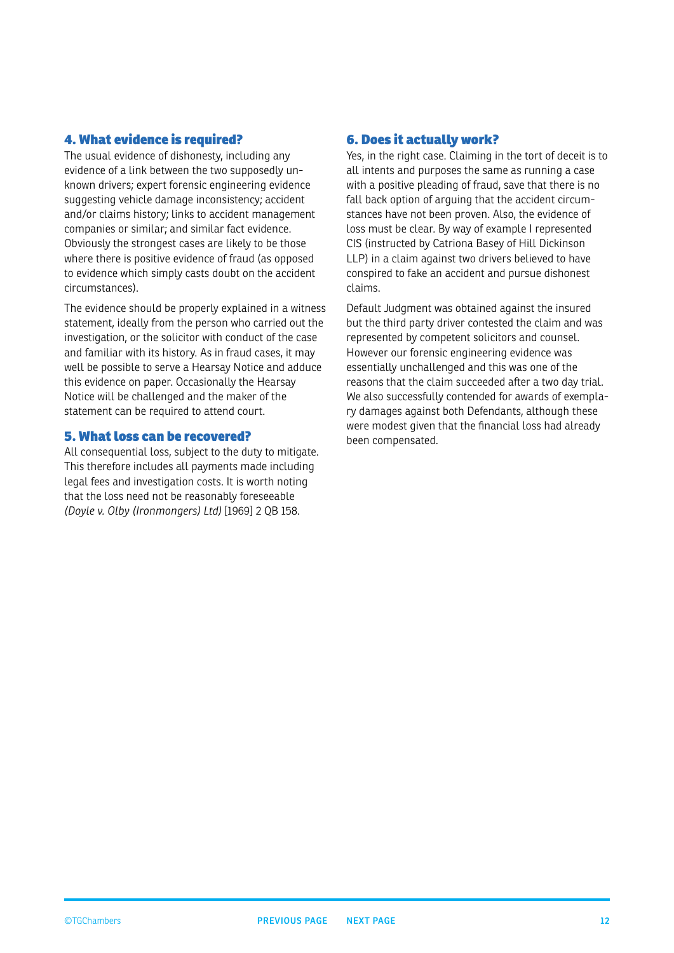#### <span id="page-11-0"></span>4. What evidence is required?

The usual evidence of dishonesty, including any evidence of a link between the two supposedly unknown drivers; expert forensic engineering evidence suggesting vehicle damage inconsistency; accident and/or claims history; links to accident management companies or similar; and similar fact evidence. Obviously the strongest cases are likely to be those where there is positive evidence of fraud (as opposed to evidence which simply casts doubt on the accident circumstances).

The evidence should be properly explained in a witness statement, ideally from the person who carried out the investigation, or the solicitor with conduct of the case and familiar with its history. As in fraud cases, it may well be possible to serve a Hearsay Notice and adduce this evidence on paper. Occasionally the Hearsay Notice will be challenged and the maker of the statement can be required to attend court.

#### 5. What loss can be recovered?

All consequential loss, subject to the duty to mitigate. This therefore includes all payments made including legal fees and investigation costs. It is worth noting that the loss need not be reasonably foreseeable *(Doyle v. Olby (Ironmongers) Ltd)* [1969] 2 QB 158.

#### 6. Does it actually work?

Yes, in the right case. Claiming in the tort of deceit is to all intents and purposes the same as running a case with a positive pleading of fraud, save that there is no fall back option of arguing that the accident circumstances have not been proven. Also, the evidence of loss must be clear. By way of example I represented CIS (instructed by Catriona Basey of Hill Dickinson LLP) in a claim against two drivers believed to have conspired to fake an accident and pursue dishonest claims.

Default Judgment was obtained against the insured but the third party driver contested the claim and was represented by competent solicitors and counsel. However our forensic engineering evidence was essentially unchallenged and this was one of the reasons that the claim succeeded after a two day trial. We also successfully contended for awards of exemplary damages against both Defendants, although these were modest given that the financial loss had already been compensated.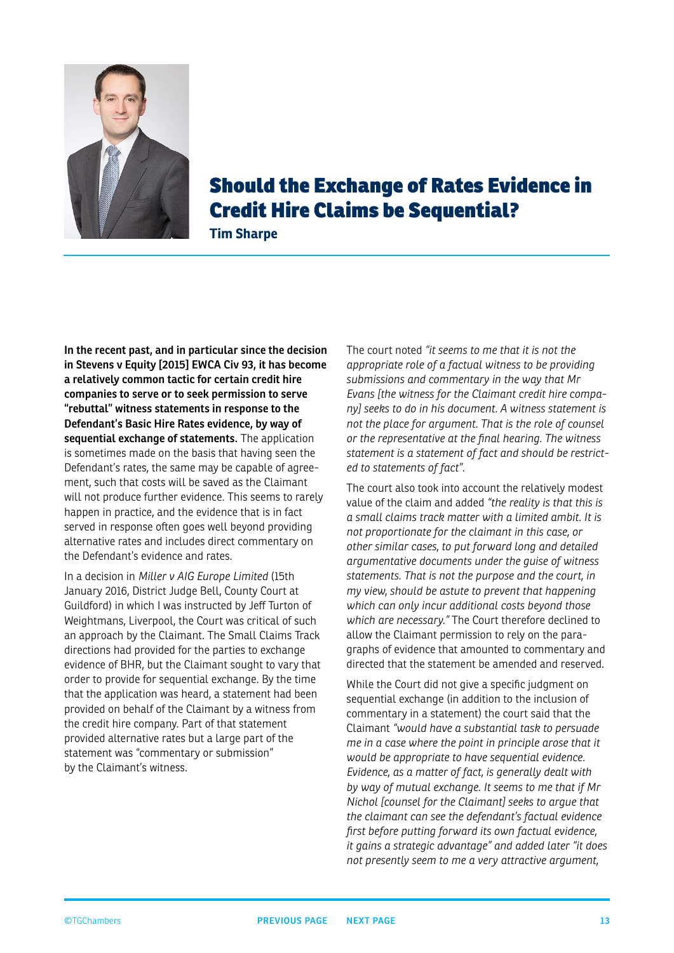<span id="page-12-0"></span>

## Should the Exchange of Rates Evidence in Credit Hire Claims be Sequential?

**Tim Sharpe**

**In the recent past, and in particular since the decision in Stevens v Equity [2015] EWCA Civ 93, it has become a relatively common tactic for certain credit hire companies to serve or to seek permission to serve "rebuttal" witness statements in response to the Defendant's Basic Hire Rates evidence, by way of sequential exchange of statements.** The application is sometimes made on the basis that having seen the Defendant's rates, the same may be capable of agreement, such that costs will be saved as the Claimant will not produce further evidence. This seems to rarely happen in practice, and the evidence that is in fact served in response often goes well beyond providing alternative rates and includes direct commentary on the Defendant's evidence and rates.

In a decision in *Miller v AIG Europe Limited* (15th January 2016, District Judge Bell, County Court at Guildford) in which I was instructed by Jeff Turton of Weightmans, Liverpool, the Court was critical of such an approach by the Claimant. The Small Claims Track directions had provided for the parties to exchange evidence of BHR, but the Claimant sought to vary that order to provide for sequential exchange. By the time that the application was heard, a statement had been provided on behalf of the Claimant by a witness from the credit hire company. Part of that statement provided alternative rates but a large part of the statement was "commentary or submission" by the Claimant's witness.

The court noted *"it seems to me that it is not the appropriate role of a factual witness to be providing submissions and commentary in the way that Mr Evans [the witness for the Claimant credit hire company] seeks to do in his document. A witness statement is not the place for argument. That is the role of counsel or the representative at the final hearing. The witness statement is a statement of fact and should be restricted to statements of fact".*

The court also took into account the relatively modest value of the claim and added *"the reality is that this is a small claims track matter with a limited ambit. It is not proportionate for the claimant in this case, or other similar cases, to put forward long and detailed argumentative documents under the guise of witness statements. That is not the purpose and the court, in my view, should be astute to prevent that happening which can only incur additional costs beyond those which are necessary."* The Court therefore declined to allow the Claimant permission to rely on the paragraphs of evidence that amounted to commentary and directed that the statement be amended and reserved.

While the Court did not give a specific judgment on sequential exchange (in addition to the inclusion of commentary in a statement) the court said that the Claimant *"would have a substantial task to persuade me in a case where the point in principle arose that it would be appropriate to have sequential evidence. Evidence, as a matter of fact, is generally dealt with by way of mutual exchange. It seems to me that if Mr Nichol [counsel for the Claimant] seeks to argue that the claimant can see the defendant's factual evidence first before putting forward its own factual evidence, it gains a strategic advantage" and added later "it does not presently seem to me a very attractive argument,*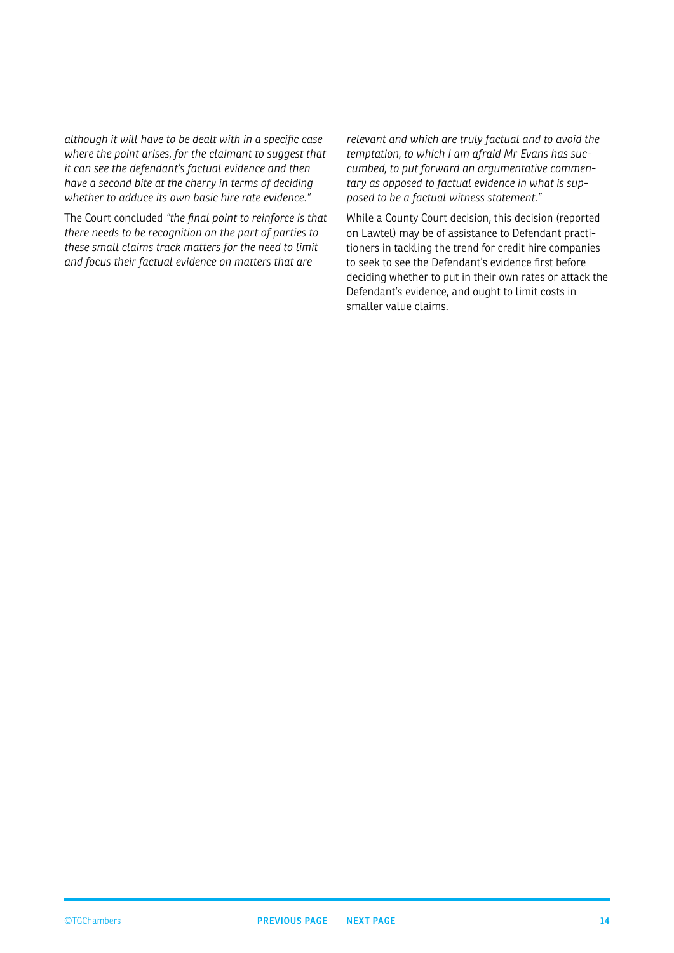<span id="page-13-0"></span>*although it will have to be dealt with in a specific case where the point arises, for the claimant to suggest that it can see the defendant's factual evidence and then have a second bite at the cherry in terms of deciding whether to adduce its own basic hire rate evidence."*

The Court concluded *"the final point to reinforce is that there needs to be recognition on the part of parties to these small claims track matters for the need to limit and focus their factual evidence on matters that are* 

*relevant and which are truly factual and to avoid the temptation, to which I am afraid Mr Evans has succumbed, to put forward an argumentative commentary as opposed to factual evidence in what is supposed to be a factual witness statement."*

While a County Court decision, this decision (reported on Lawtel) may be of assistance to Defendant practitioners in tackling the trend for credit hire companies to seek to see the Defendant's evidence first before deciding whether to put in their own rates or attack the Defendant's evidence, and ought to limit costs in smaller value claims.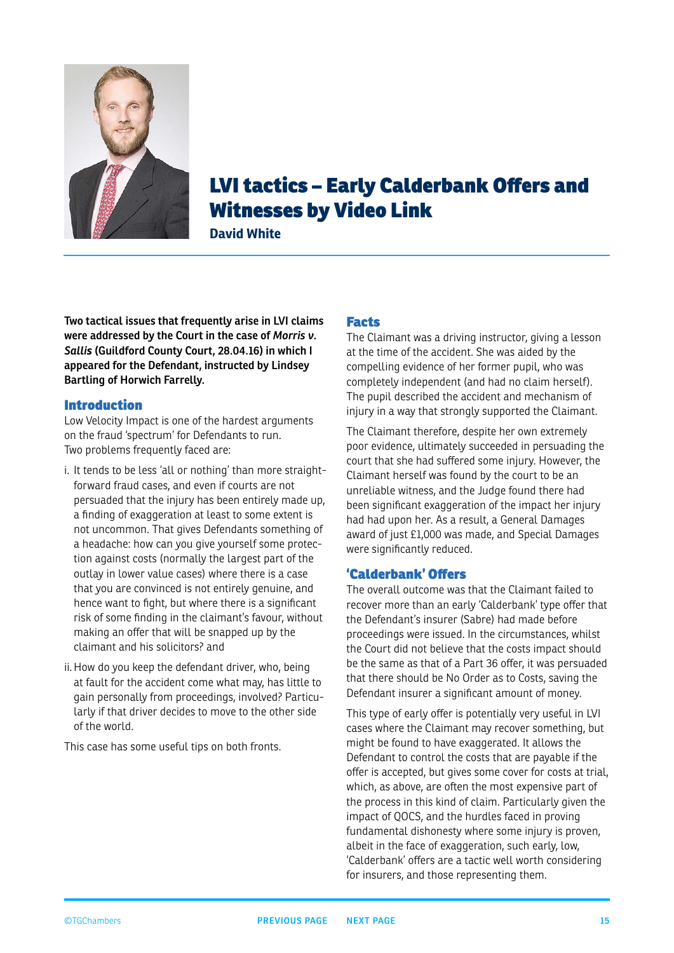<span id="page-14-0"></span>

## LVI tactics – Early Calderbank Offers and Witnesses by Video Link

**David White**

**Two tactical issues that frequently arise in LVI claims were addressed by the Court in the case of** *Morris v. Sallis* **(Guildford County Court, 28.04.16) in which I appeared for the Defendant, instructed by Lindsey Bartling of Horwich Farrelly.**

#### Introduction

Low Velocity Impact is one of the hardest arguments on the fraud 'spectrum' for Defendants to run. Two problems frequently faced are:

- i. It tends to be less 'all or nothing' than more straightforward fraud cases, and even if courts are not persuaded that the injury has been entirely made up, a finding of exaggeration at least to some extent is not uncommon. That gives Defendants something of a headache: how can you give yourself some protection against costs (normally the largest part of the outlay in lower value cases) where there is a case that you are convinced is not entirely genuine, and hence want to fight, but where there is a significant risk of some finding in the claimant's favour, without making an offer that will be snapped up by the claimant and his solicitors? and
- ii. How do you keep the defendant driver, who, being at fault for the accident come what may, has little to gain personally from proceedings, involved? Particularly if that driver decides to move to the other side of the world.

This case has some useful tips on both fronts.

#### Facts

The Claimant was a driving instructor, giving a lesson at the time of the accident. She was aided by the compelling evidence of her former pupil, who was completely independent (and had no claim herself). The pupil described the accident and mechanism of injury in a way that strongly supported the Claimant.

The Claimant therefore, despite her own extremely poor evidence, ultimately succeeded in persuading the court that she had suffered some injury. However, the Claimant herself was found by the court to be an unreliable witness, and the Judge found there had been significant exaggeration of the impact her injury had had upon her. As a result, a General Damages award of just £1,000 was made, and Special Damages were significantly reduced.

#### 'Calderbank' Offers

The overall outcome was that the Claimant failed to recover more than an early 'Calderbank' type offer that the Defendant's insurer (Sabre) had made before proceedings were issued. In the circumstances, whilst the Court did not believe that the costs impact should be the same as that of a Part 36 offer, it was persuaded that there should be No Order as to Costs, saving the Defendant insurer a significant amount of money.

This type of early offer is potentially very useful in LVI cases where the Claimant may recover something, but might be found to have exaggerated. It allows the Defendant to control the costs that are payable if the offer is accepted, but gives some cover for costs at trial, which, as above, are often the most expensive part of the process in this kind of claim. Particularly given the impact of QOCS, and the hurdles faced in proving fundamental dishonesty where some injury is proven, albeit in the face of exaggeration, such early, low, 'Calderbank' offers are a tactic well worth considering for insurers, and those representing them.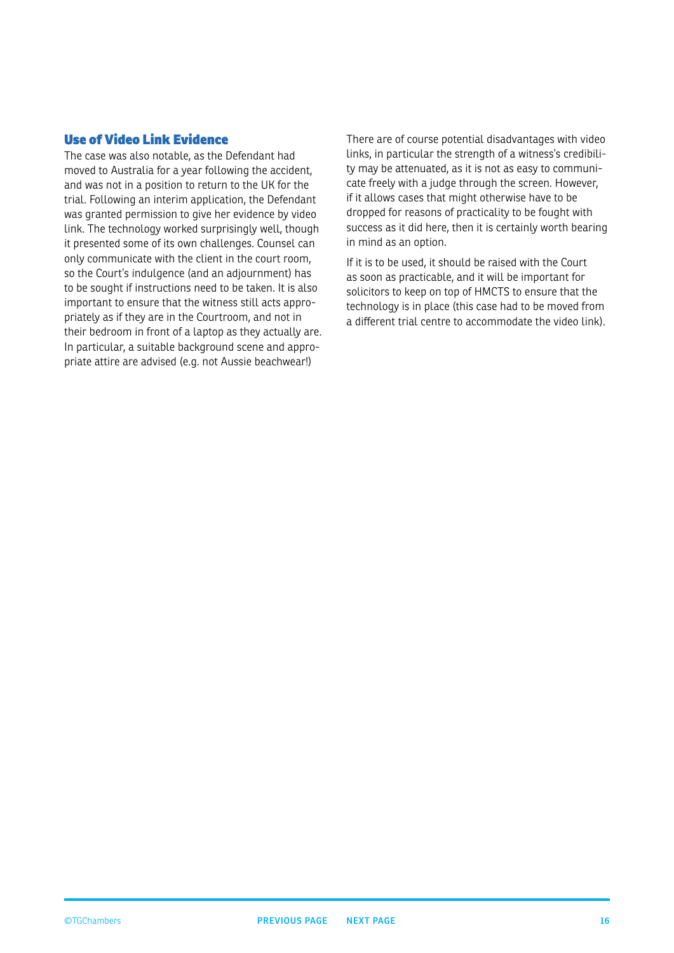#### <span id="page-15-0"></span>Use of Video Link Evidence

The case was also notable, as the Defendant had moved to Australia for a year following the accident, and was not in a position to return to the UK for the trial. Following an interim application, the Defendant was granted permission to give her evidence by video link. The technology worked surprisingly well, though it presented some of its own challenges. Counsel can only communicate with the client in the court room, so the Court's indulgence (and an adjournment) has to be sought if instructions need to be taken. It is also important to ensure that the witness still acts appropriately as if they are in the Courtroom, and not in their bedroom in front of a laptop as they actually are. In particular, a suitable background scene and appropriate attire are advised (e.g. not Aussie beachwear!)

There are of course potential disadvantages with video links, in particular the strength of a witness's credibility may be attenuated, as it is not as easy to communicate freely with a judge through the screen. However, if it allows cases that might otherwise have to be dropped for reasons of practicality to be fought with success as it did here, then it is certainly worth bearing in mind as an option.

If it is to be used, it should be raised with the Court as soon as practicable, and it will be important for solicitors to keep on top of HMCTS to ensure that the technology is in place (this case had to be moved from a different trial centre to accommodate the video link).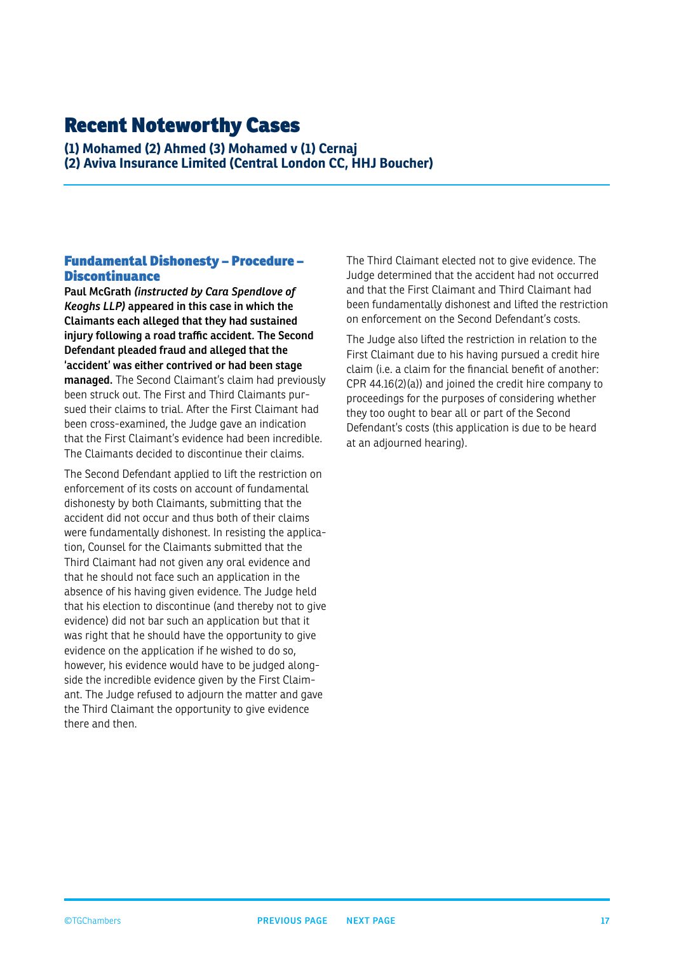### <span id="page-16-0"></span>Recent Noteworthy Cases

**(1) Mohamed (2) Ahmed (3) Mohamed v (1) Cernaj (2) Aviva Insurance Limited (Central London CC, HHJ Boucher)**

#### Fundamental Dishonesty – Procedure – Discontinuance

**Paul McGrath** *(instructed by Cara Spendlove of Keoghs LLP)* **appeared in this case in which the Claimants each alleged that they had sustained injury following a road traffic accident. The Second Defendant pleaded fraud and alleged that the 'accident' was either contrived or had been stage managed.** The Second Claimant's claim had previously been struck out. The First and Third Claimants pursued their claims to trial. After the First Claimant had been cross-examined, the Judge gave an indication that the First Claimant's evidence had been incredible. The Claimants decided to discontinue their claims.

The Second Defendant applied to lift the restriction on enforcement of its costs on account of fundamental dishonesty by both Claimants, submitting that the accident did not occur and thus both of their claims were fundamentally dishonest. In resisting the application, Counsel for the Claimants submitted that the Third Claimant had not given any oral evidence and that he should not face such an application in the absence of his having given evidence. The Judge held that his election to discontinue (and thereby not to give evidence) did not bar such an application but that it was right that he should have the opportunity to give evidence on the application if he wished to do so, however, his evidence would have to be judged alongside the incredible evidence given by the First Claimant. The Judge refused to adjourn the matter and gave the Third Claimant the opportunity to give evidence there and then.

The Third Claimant elected not to give evidence. The Judge determined that the accident had not occurred and that the First Claimant and Third Claimant had been fundamentally dishonest and lifted the restriction on enforcement on the Second Defendant's costs.

The Judge also lifted the restriction in relation to the First Claimant due to his having pursued a credit hire claim (i.e. a claim for the financial benefit of another: CPR 44.16(2)(a)) and joined the credit hire company to proceedings for the purposes of considering whether they too ought to bear all or part of the Second Defendant's costs (this application is due to be heard at an adjourned hearing).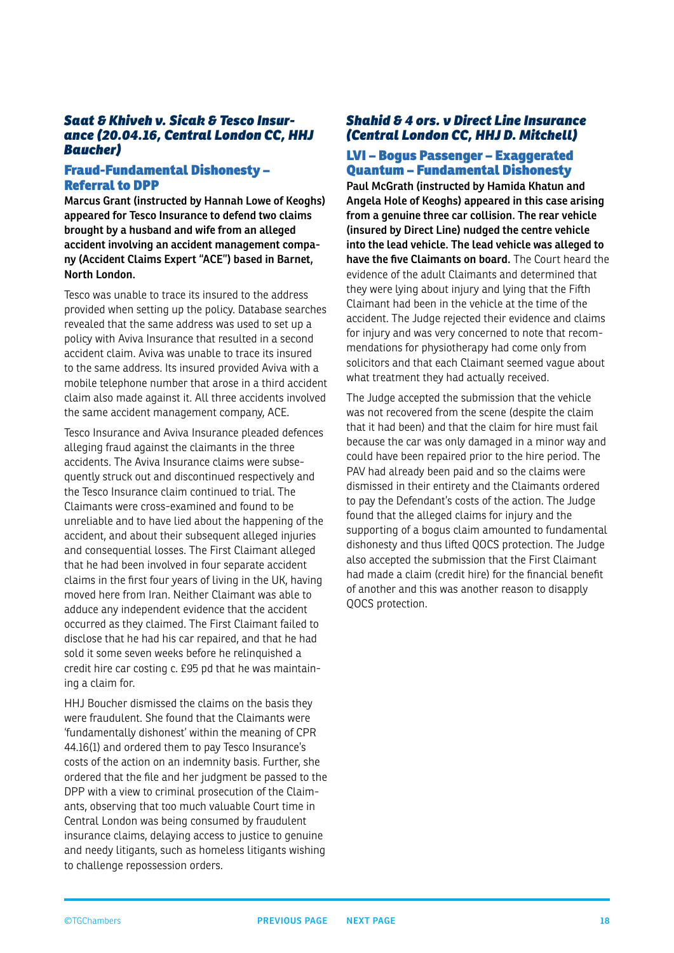#### <span id="page-17-0"></span>*Saat & Khiveh v. Sicak & Tesco Insurance (20.04.16, Central London CC, HHJ Baucher)*

#### Fraud-Fundamental Dishonesty – Referral to DPP

**Marcus Grant (instructed by Hannah Lowe of Keoghs) appeared for Tesco Insurance to defend two claims brought by a husband and wife from an alleged accident involving an accident management company (Accident Claims Expert "ACE") based in Barnet, North London.**

Tesco was unable to trace its insured to the address provided when setting up the policy. Database searches revealed that the same address was used to set up a policy with Aviva Insurance that resulted in a second accident claim. Aviva was unable to trace its insured to the same address. Its insured provided Aviva with a mobile telephone number that arose in a third accident claim also made against it. All three accidents involved the same accident management company, ACE.

Tesco Insurance and Aviva Insurance pleaded defences alleging fraud against the claimants in the three accidents. The Aviva Insurance claims were subsequently struck out and discontinued respectively and the Tesco Insurance claim continued to trial. The Claimants were cross-examined and found to be unreliable and to have lied about the happening of the accident, and about their subsequent alleged injuries and consequential losses. The First Claimant alleged that he had been involved in four separate accident claims in the first four years of living in the UK, having moved here from Iran. Neither Claimant was able to adduce any independent evidence that the accident occurred as they claimed. The First Claimant failed to disclose that he had his car repaired, and that he had sold it some seven weeks before he relinquished a credit hire car costing c. £95 pd that he was maintaining a claim for.

HHJ Boucher dismissed the claims on the basis they were fraudulent. She found that the Claimants were 'fundamentally dishonest' within the meaning of CPR 44.16(1) and ordered them to pay Tesco Insurance's costs of the action on an indemnity basis. Further, she ordered that the file and her judgment be passed to the DPP with a view to criminal prosecution of the Claimants, observing that too much valuable Court time in Central London was being consumed by fraudulent insurance claims, delaying access to justice to genuine and needy litigants, such as homeless litigants wishing to challenge repossession orders.

#### *Shahid & 4 ors. v Direct Line Insurance (Central London CC, HHJ D. Mitchell)*

#### LVI – Bogus Passenger – Exaggerated Quantum – Fundamental Dishonesty

**Paul McGrath (instructed by Hamida Khatun and Angela Hole of Keoghs) appeared in this case arising from a genuine three car collision. The rear vehicle (insured by Direct Line) nudged the centre vehicle into the lead vehicle. The lead vehicle was alleged to have the five Claimants on board.** The Court heard the evidence of the adult Claimants and determined that they were lying about injury and lying that the Fifth Claimant had been in the vehicle at the time of the accident. The Judge rejected their evidence and claims for injury and was very concerned to note that recommendations for physiotherapy had come only from solicitors and that each Claimant seemed vague about what treatment they had actually received.

The Judge accepted the submission that the vehicle was not recovered from the scene (despite the claim that it had been) and that the claim for hire must fail because the car was only damaged in a minor way and could have been repaired prior to the hire period. The PAV had already been paid and so the claims were dismissed in their entirety and the Claimants ordered to pay the Defendant's costs of the action. The Judge found that the alleged claims for injury and the supporting of a bogus claim amounted to fundamental dishonesty and thus lifted QOCS protection. The Judge also accepted the submission that the First Claimant had made a claim (credit hire) for the financial benefit of another and this was another reason to disapply QOCS protection.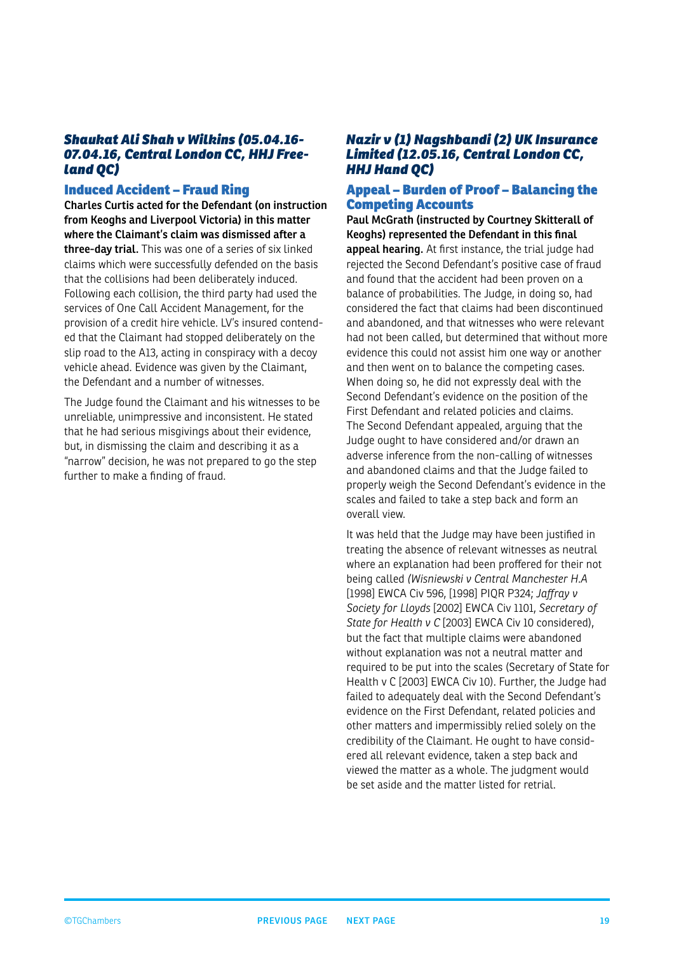#### <span id="page-18-0"></span>*Shaukat Ali Shah v Wilkins (05.04.16- 07.04.16, Central London CC, HHJ Freeland QC)*

#### Induced Accident – Fraud Ring

**Charles Curtis acted for the Defendant (on instruction from Keoghs and Liverpool Victoria) in this matter where the Claimant's claim was dismissed after a three-day trial.** This was one of a series of six linked claims which were successfully defended on the basis that the collisions had been deliberately induced. Following each collision, the third party had used the services of One Call Accident Management, for the provision of a credit hire vehicle. LV's insured contended that the Claimant had stopped deliberately on the slip road to the A13, acting in conspiracy with a decoy vehicle ahead. Evidence was given by the Claimant, the Defendant and a number of witnesses.

The Judge found the Claimant and his witnesses to be unreliable, unimpressive and inconsistent. He stated that he had serious misgivings about their evidence, but, in dismissing the claim and describing it as a "narrow" decision, he was not prepared to go the step further to make a finding of fraud.

#### *Nazir v (1) Nagshbandi (2) UK Insurance Limited (12.05.16, Central London CC, HHJ Hand QC)*

#### Appeal – Burden of Proof – Balancing the Competing Accounts

**Paul McGrath (instructed by Courtney Skitterall of Keoghs) represented the Defendant in this final appeal hearing.** At first instance, the trial judge had rejected the Second Defendant's positive case of fraud and found that the accident had been proven on a balance of probabilities. The Judge, in doing so, had considered the fact that claims had been discontinued and abandoned, and that witnesses who were relevant had not been called, but determined that without more evidence this could not assist him one way or another and then went on to balance the competing cases. When doing so, he did not expressly deal with the Second Defendant's evidence on the position of the First Defendant and related policies and claims. The Second Defendant appealed, arguing that the Judge ought to have considered and/or drawn an adverse inference from the non-calling of witnesses and abandoned claims and that the Judge failed to properly weigh the Second Defendant's evidence in the scales and failed to take a step back and form an overall view.

It was held that the Judge may have been justified in treating the absence of relevant witnesses as neutral where an explanation had been proffered for their not being called *(Wisniewski v Central Manchester H.A*  [1998] EWCA Civ 596, [1998] PIQR P324; *Jaffray v Society for Lloyds* [2002] EWCA Civ 1101, *Secretary of State for Health v C* [2003] EWCA Civ 10 considered), but the fact that multiple claims were abandoned without explanation was not a neutral matter and required to be put into the scales (Secretary of State for Health v C [2003] EWCA Civ 10). Further, the Judge had failed to adequately deal with the Second Defendant's evidence on the First Defendant, related policies and other matters and impermissibly relied solely on the credibility of the Claimant. He ought to have considered all relevant evidence, taken a step back and viewed the matter as a whole. The judgment would be set aside and the matter listed for retrial.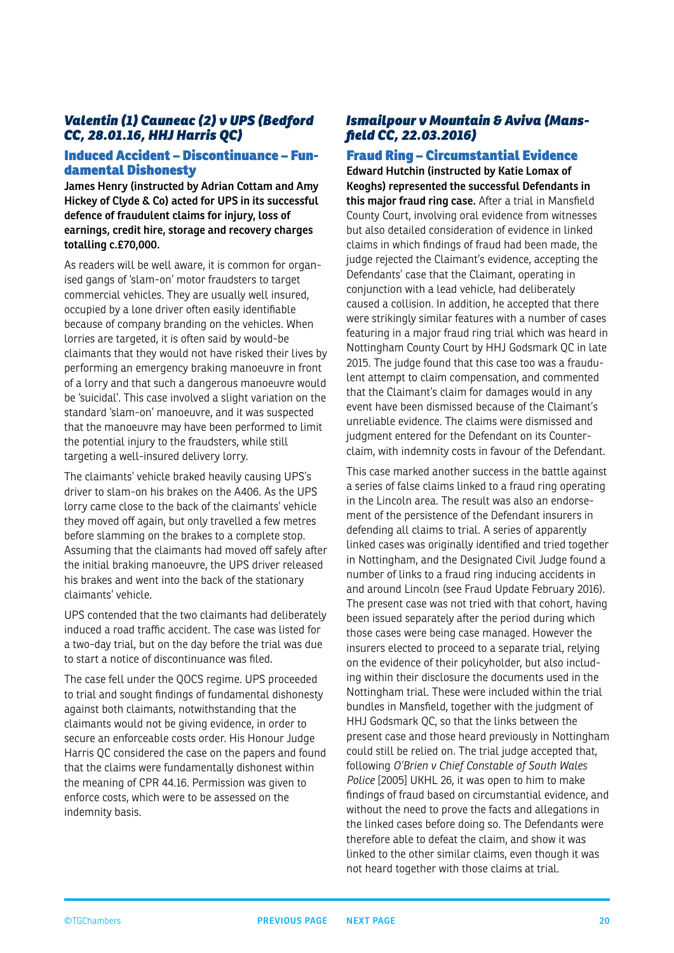#### <span id="page-19-0"></span>*Valentin (1) Cauneac (2) v UPS (Bedford CC, 28.01.16, HHJ Harris QC)*

#### Induced Accident – Discontinuance – Fundamental Dishonesty

**James Henry (instructed by Adrian Cottam and Amy Hickey of Clyde & Co) acted for UPS in its successful defence of fraudulent claims for injury, loss of earnings, credit hire, storage and recovery charges totalling c.£70,000.**

As readers will be well aware, it is common for organised gangs of 'slam-on' motor fraudsters to target commercial vehicles. They are usually well insured, occupied by a lone driver often easily identifiable because of company branding on the vehicles. When lorries are targeted, it is often said by would-be claimants that they would not have risked their lives by performing an emergency braking manoeuvre in front of a lorry and that such a dangerous manoeuvre would be 'suicidal'. This case involved a slight variation on the standard 'slam-on' manoeuvre, and it was suspected that the manoeuvre may have been performed to limit the potential injury to the fraudsters, while still targeting a well-insured delivery lorry.

The claimants' vehicle braked heavily causing UPS's driver to slam-on his brakes on the A406. As the UPS lorry came close to the back of the claimants' vehicle they moved off again, but only travelled a few metres before slamming on the brakes to a complete stop. Assuming that the claimants had moved off safely after the initial braking manoeuvre, the UPS driver released his brakes and went into the back of the stationary claimants' vehicle.

UPS contended that the two claimants had deliberately induced a road traffic accident. The case was listed for a two-day trial, but on the day before the trial was due to start a notice of discontinuance was filed.

The case fell under the QOCS regime. UPS proceeded to trial and sought findings of fundamental dishonesty against both claimants, notwithstanding that the claimants would not be giving evidence, in order to secure an enforceable costs order. His Honour Judge Harris QC considered the case on the papers and found that the claims were fundamentally dishonest within the meaning of CPR 44.16. Permission was given to enforce costs, which were to be assessed on the indemnity basis.

#### *Ismailpour v Mountain & Aviva (Mansfield CC, 22.03.2016)*

#### Fraud Ring – Circumstantial Evidence **Edward Hutchin (instructed by Katie Lomax of Keoghs) represented the successful Defendants in this major fraud ring case.** After a trial in Mansfield County Court, involving oral evidence from witnesses but also detailed consideration of evidence in linked claims in which findings of fraud had been made, the judge rejected the Claimant's evidence, accepting the Defendants' case that the Claimant, operating in conjunction with a lead vehicle, had deliberately caused a collision. In addition, he accepted that there were strikingly similar features with a number of cases featuring in a major fraud ring trial which was heard in Nottingham County Court by HHJ Godsmark QC in late 2015. The judge found that this case too was a fraudulent attempt to claim compensation, and commented that the Claimant's claim for damages would in any event have been dismissed because of the Claimant's

unreliable evidence. The claims were dismissed and judgment entered for the Defendant on its Counterclaim, with indemnity costs in favour of the Defendant.

This case marked another success in the battle against a series of false claims linked to a fraud ring operating in the Lincoln area. The result was also an endorsement of the persistence of the Defendant insurers in defending all claims to trial. A series of apparently linked cases was originally identified and tried together in Nottingham, and the Designated Civil Judge found a number of links to a fraud ring inducing accidents in and around Lincoln (see Fraud Update February 2016). The present case was not tried with that cohort, having been issued separately after the period during which those cases were being case managed. However the insurers elected to proceed to a separate trial, relying on the evidence of their policyholder, but also including within their disclosure the documents used in the Nottingham trial. These were included within the trial bundles in Mansfield, together with the judgment of HHJ Godsmark QC, so that the links between the present case and those heard previously in Nottingham could still be relied on. The trial judge accepted that, following *O'Brien v Chief Constable of South Wales Police* [2005] UKHL 26, it was open to him to make findings of fraud based on circumstantial evidence, and without the need to prove the facts and allegations in the linked cases before doing so. The Defendants were therefore able to defeat the claim, and show it was linked to the other similar claims, even though it was not heard together with those claims at trial.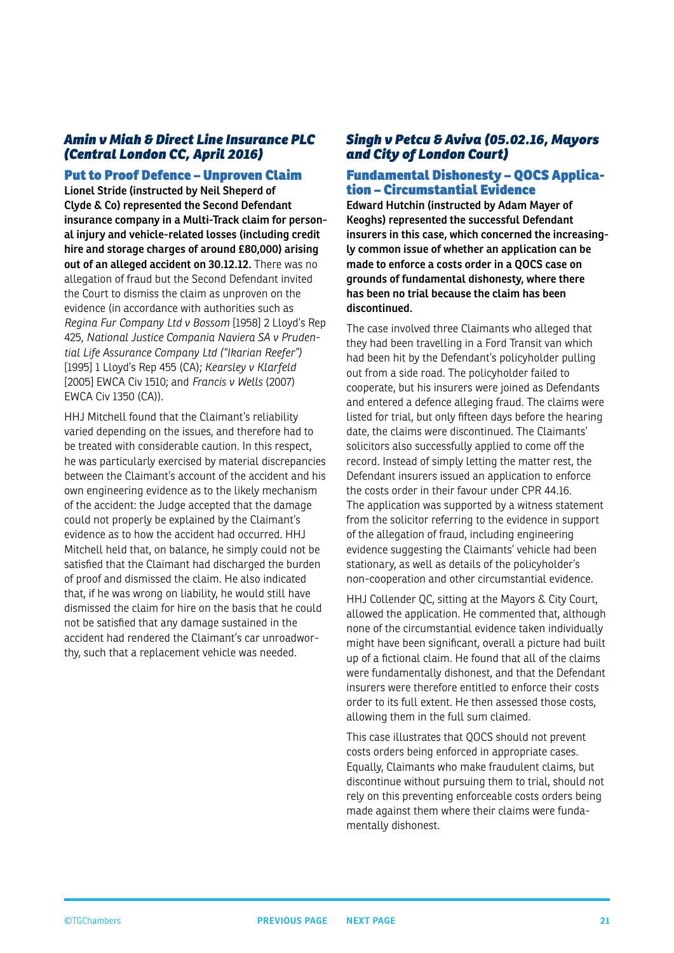#### <span id="page-20-0"></span>*Amin v Miah & Direct Line Insurance PLC (Central London CC, April 2016)*

#### Put to Proof Defence – Unproven Claim

**Lionel Stride (instructed by Neil Sheperd of Clyde & Co) represented the Second Defendant insurance company in a Multi-Track claim for personal injury and vehicle-related losses (including credit hire and storage charges of around £80,000) arising out of an alleged accident on 30.12.12.** There was no allegation of fraud but the Second Defendant invited the Court to dismiss the claim as unproven on the evidence (in accordance with authorities such as *Regina Fur Company Ltd v Bossom* [1958] 2 Lloyd's Rep 425, *National Justice Compania Naviera SA v Prudential Life Assurance Company Ltd ("Ikarian Reefer")* [1995] 1 Lloyd's Rep 455 (CA); *Kearsley v Klarfeld* [2005] EWCA Civ 1510; and *Francis v Wells* (2007) EWCA Civ 1350 (CA)).

HHJ Mitchell found that the Claimant's reliability varied depending on the issues, and therefore had to be treated with considerable caution. In this respect, he was particularly exercised by material discrepancies between the Claimant's account of the accident and his own engineering evidence as to the likely mechanism of the accident: the Judge accepted that the damage could not properly be explained by the Claimant's evidence as to how the accident had occurred. HHJ Mitchell held that, on balance, he simply could not be satisfied that the Claimant had discharged the burden of proof and dismissed the claim. He also indicated that, if he was wrong on liability, he would still have dismissed the claim for hire on the basis that he could not be satisfied that any damage sustained in the accident had rendered the Claimant's car unroadworthy, such that a replacement vehicle was needed.

#### *Singh v Petcu & Aviva (05.02.16, Mayors and City of London Court)*

#### Fundamental Dishonesty – QOCS Application – Circumstantial Evidence

**Edward Hutchin (instructed by Adam Mayer of Keoghs) represented the successful Defendant insurers in this case, which concerned the increasingly common issue of whether an application can be made to enforce a costs order in a QOCS case on grounds of fundamental dishonesty, where there has been no trial because the claim has been discontinued.**

The case involved three Claimants who alleged that they had been travelling in a Ford Transit van which had been hit by the Defendant's policyholder pulling out from a side road. The policyholder failed to cooperate, but his insurers were joined as Defendants and entered a defence alleging fraud. The claims were listed for trial, but only fifteen days before the hearing date, the claims were discontinued. The Claimants' solicitors also successfully applied to come off the record. Instead of simply letting the matter rest, the Defendant insurers issued an application to enforce the costs order in their favour under CPR 44.16. The application was supported by a witness statement from the solicitor referring to the evidence in support of the allegation of fraud, including engineering evidence suggesting the Claimants' vehicle had been stationary, as well as details of the policyholder's non-cooperation and other circumstantial evidence.

HHJ Collender QC, sitting at the Mayors & City Court, allowed the application. He commented that, although none of the circumstantial evidence taken individually might have been significant, overall a picture had built up of a fictional claim. He found that all of the claims were fundamentally dishonest, and that the Defendant insurers were therefore entitled to enforce their costs order to its full extent. He then assessed those costs, allowing them in the full sum claimed.

This case illustrates that QOCS should not prevent costs orders being enforced in appropriate cases. Equally, Claimants who make fraudulent claims, but discontinue without pursuing them to trial, should not rely on this preventing enforceable costs orders being made against them where their claims were fundamentally dishonest.